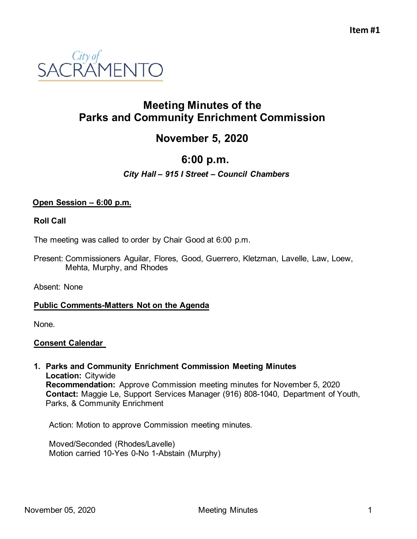

## **Meeting Minutes of the Parks and Community Enrichment Commission**

# **November 5, 2020**

## **6:00 p.m.**

## *City Hall – 915 I Street – Council Chambers*

### **Open Session – 6:00 p.m.**

#### **Roll Call**

The meeting was called to order by Chair Good at 6:00 p.m.

Present: Commissioners Aguilar, Flores, Good, Guerrero, Kletzman, Lavelle, Law, Loew, Mehta, Murphy, and Rhodes

Absent: None

#### **Public Comments-Matters Not on the Agenda**

None.

#### **Consent Calendar**

**1. Parks and Community Enrichment Commission Meeting Minutes Location:** Citywide **Recommendation:** Approve Commission meeting minutes for November 5, 2020 **Contact:** Maggie Le, Support Services Manager (916) 808-1040, Department of Youth, Parks, & Community Enrichment

Action: Motion to approve Commission meeting minutes.

Moved/Seconded (Rhodes/Lavelle) Motion carried 10-Yes 0-No 1-Abstain (Murphy)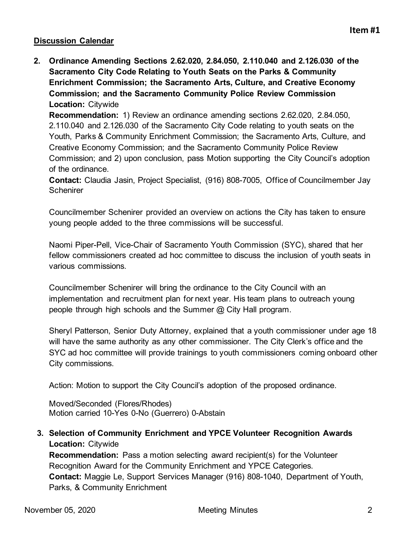## **Discussion Calendar**

**2. Ordinance Amending Sections 2.62.020, 2.84.050, 2.110.040 and 2.126.030 of the Sacramento City Code Relating to Youth Seats on the Parks & Community Enrichment Commission; the Sacramento Arts, Culture, and Creative Economy Commission; and the Sacramento Community Police Review Commission Location:** Citywide

**Recommendation:** 1) Review an ordinance amending sections 2.62.020, 2.84.050, 2.110.040 and 2.126.030 of the Sacramento City Code relating to youth seats on the Youth, Parks & Community Enrichment Commission; the Sacramento Arts, Culture, and Creative Economy Commission; and the Sacramento Community Police Review Commission; and 2) upon conclusion, pass Motion supporting the City Council's adoption of the ordinance.

**Contact:** Claudia Jasin, Project Specialist, (916) 808-7005, Office of Councilmember Jay **Schenirer** 

Councilmember Schenirer provided an overview on actions the City has taken to ensure young people added to the three commissions will be successful.

Naomi Piper-Pell, Vice-Chair of Sacramento Youth Commission (SYC), shared that her fellow commissioners created ad hoc committee to discuss the inclusion of youth seats in various commissions.

Councilmember Schenirer will bring the ordinance to the City Council with an implementation and recruitment plan for next year. His team plans to outreach young people through high schools and the Summer @ City Hall program.

Sheryl Patterson, Senior Duty Attorney, explained that a youth commissioner under age 18 will have the same authority as any other commissioner. The City Clerk's office and the SYC ad hoc committee will provide trainings to youth commissioners coming onboard other City commissions.

Action: Motion to support the City Council's adoption of the proposed ordinance.

Moved/Seconded (Flores/Rhodes) Motion carried 10-Yes 0-No (Guerrero) 0-Abstain

**3. Selection of Community Enrichment and YPCE Volunteer Recognition Awards Location:** Citywide

**Recommendation:** Pass a motion selecting award recipient(s) for the Volunteer Recognition Award for the Community Enrichment and YPCE Categories. **Contact:** Maggie Le, Support Services Manager (916) 808-1040, Department of Youth, Parks, & Community Enrichment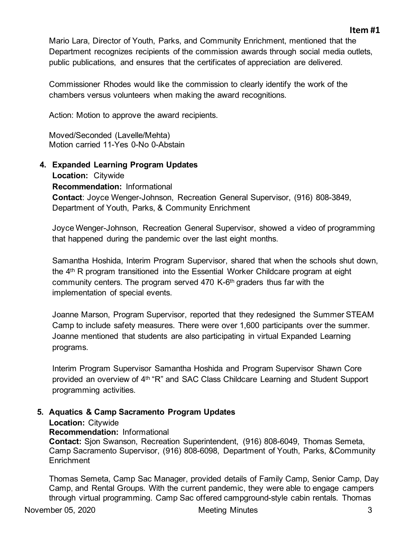#### **Item #1**

Mario Lara, Director of Youth, Parks, and Community Enrichment, mentioned that the Department recognizes recipients of the commission awards through social media outlets, public publications, and ensures that the certificates of appreciation are delivered.

Commissioner Rhodes would like the commission to clearly identify the work of the chambers versus volunteers when making the award recognitions.

Action: Motion to approve the award recipients.

Moved/Seconded (Lavelle/Mehta) Motion carried 11-Yes 0-No 0-Abstain

**4. Expanded Learning Program Updates Location:** Citywide **Recommendation:** Informational **Contact**: Joyce Wenger-Johnson, Recreation General Supervisor, (916) 808-3849, Department of Youth, Parks, & Community Enrichment

Joyce Wenger-Johnson, Recreation General Supervisor, showed a video of programming that happened during the pandemic over the last eight months.

Samantha Hoshida, Interim Program Supervisor, shared that when the schools shut down, the 4th R program transitioned into the Essential Worker Childcare program at eight community centers. The program served 470 K-6th graders thus far with the implementation of special events.

Joanne Marson, Program Supervisor, reported that they redesigned the Summer STEAM Camp to include safety measures. There were over 1,600 participants over the summer. Joanne mentioned that students are also participating in virtual Expanded Learning programs.

Interim Program Supervisor Samantha Hoshida and Program Supervisor Shawn Core provided an overview of 4<sup>th "</sup>R" and SAC Class Childcare Learning and Student Support programming activities.

## **5. Aquatics & Camp Sacramento Program Updates**

#### **Location:** Citywide

#### **Recommendation:** Informational

**Contact:** Sjon Swanson, Recreation Superintendent, (916) 808-6049, Thomas Semeta, Camp Sacramento Supervisor, (916) 808-6098, Department of Youth, Parks, &Community **Enrichment** 

Thomas Semeta, Camp Sac Manager, provided details of Family Camp, Senior Camp, Day Camp, and Rental Groups. With the current pandemic, they were able to engage campers through virtual programming. Camp Sac offered campground-style cabin rentals. Thomas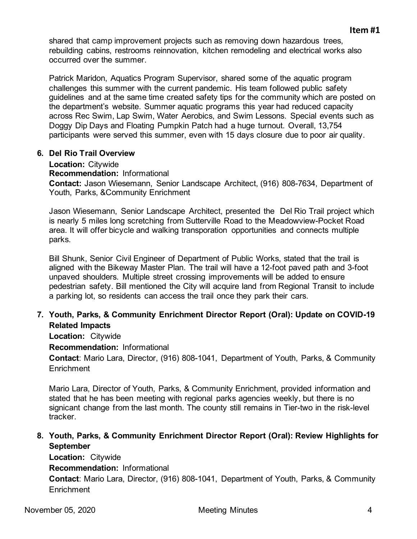shared that camp improvement projects such as removing down hazardous trees, rebuilding cabins, restrooms reinnovation, kitchen remodeling and electrical works also occurred over the summer.

Patrick Maridon, Aquatics Program Supervisor, shared some of the aquatic program challenges this summer with the current pandemic. His team followed public safety guidelines and at the same time created safety tips for the community which are posted on the department's website. Summer aquatic programs this year had reduced capacity across Rec Swim, Lap Swim, Water Aerobics, and Swim Lessons. Special events such as Doggy Dip Days and Floating Pumpkin Patch had a huge turnout. Overall, 13,754 participants were served this summer, even with 15 days closure due to poor air quality.

#### **6. Del Rio Trail Overview**

**Location:** Citywide

**Recommendation:** Informational

**Contact:** Jason Wiesemann, Senior Landscape Architect, (916) 808-7634, Department of Youth, Parks, &Community Enrichment

Jason Wiesemann, Senior Landscape Architect, presented the Del Rio Trail project which is nearly 5 miles long scretching from Sutterville Road to the Meadowview-Pocket Road area. It will offer bicycle and walking transporation opportunities and connects multiple parks.

Bill Shunk, Senior Civil Engineer of Department of Public Works, stated that the trail is aligned with the Bikeway Master Plan. The trail will have a 12-foot paved path and 3-foot unpaved shoulders. Multiple street crossing improvements will be added to ensure pedestrian safety. Bill mentioned the City will acquire land from Regional Transit to include a parking lot, so residents can access the trail once they park their cars.

## **7. Youth, Parks, & Community Enrichment Director Report (Oral): Update on COVID-19 Related Impacts**

**Location:** Citywide

**Recommendation:** Informational

**Contact**: Mario Lara, Director, (916) 808-1041, Department of Youth, Parks, & Community **Enrichment** 

Mario Lara, Director of Youth, Parks, & Community Enrichment, provided information and stated that he has been meeting with regional parks agencies weekly, but there is no signicant change from the last month. The county still remains in Tier-two in the risk-level tracker.

**8. Youth, Parks, & Community Enrichment Director Report (Oral): Review Highlights for September**

**Location:** Citywide **Recommendation:** Informational **Contact**: Mario Lara, Director, (916) 808-1041, Department of Youth, Parks, & Community **Enrichment**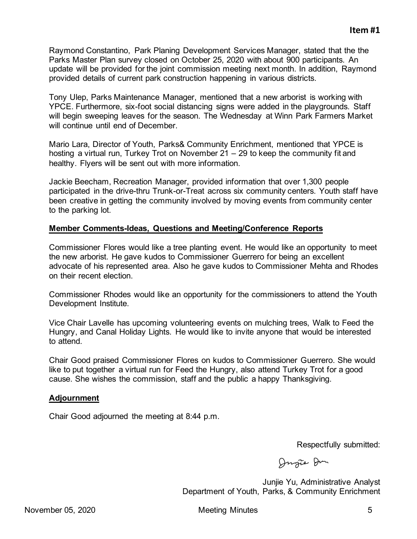Raymond Constantino, Park Planing Development Services Manager, stated that the the Parks Master Plan survey closed on October 25, 2020 with about 900 participants. An update will be provided for the joint commission meeting next month. In addition, Raymond provided details of current park construction happening in various districts.

Tony Ulep, Parks Maintenance Manager, mentioned that a new arborist is working with YPCE. Furthermore, six-foot social distancing signs were added in the playgrounds. Staff will begin sweeping leaves for the season. The Wednesday at Winn Park Farmers Market will continue until end of December.

Mario Lara, Director of Youth, Parks& Community Enrichment, mentioned that YPCE is hosting a virtual run, Turkey Trot on November 21 – 29 to keep the community fit and healthy. Flyers will be sent out with more information.

Jackie Beecham, Recreation Manager, provided information that over 1,300 people participated in the drive-thru Trunk-or-Treat across six community centers. Youth staff have been creative in getting the community involved by moving events from community center to the parking lot.

### **Member Comments-Ideas, Questions and Meeting/Conference Reports**

Commissioner Flores would like a tree planting event. He would like an opportunity to meet the new arborist. He gave kudos to Commissioner Guerrero for being an excellent advocate of his represented area. Also he gave kudos to Commissioner Mehta and Rhodes on their recent election.

Commissioner Rhodes would like an opportunity for the commissioners to attend the Youth Development Institute.

Vice Chair Lavelle has upcoming volunteering events on mulching trees, Walk to Feed the Hungry, and Canal Holiday Lights. He would like to invite anyone that would be interested to attend.

Chair Good praised Commissioner Flores on kudos to Commissioner Guerrero. She would like to put together a virtual run for Feed the Hungry, also attend Turkey Trot for a good cause. She wishes the commission, staff and the public a happy Thanksgiving.

#### **Adjournment**

Chair Good adjourned the meeting at 8:44 p.m.

Respectfully submitted:

Dugie Du

Junjie Yu, Administrative Analyst Department of Youth, Parks, & Community Enrichment